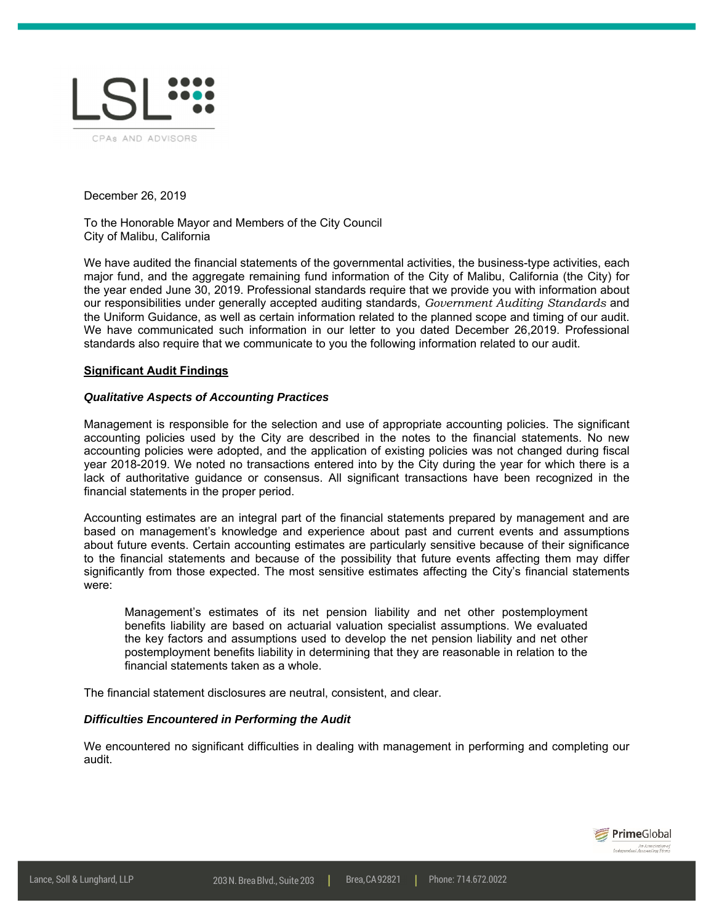

December 26, 2019

To the Honorable Mayor and Members of the City Council City of Malibu, California

We have audited the financial statements of the governmental activities, the business-type activities, each major fund, and the aggregate remaining fund information of the City of Malibu, California (the City) for the year ended June 30, 2019. Professional standards require that we provide you with information about our responsibilities under generally accepted auditing standards, *Government Auditing Standards* and the Uniform Guidance, as well as certain information related to the planned scope and timing of our audit. We have communicated such information in our letter to you dated December 26,2019. Professional standards also require that we communicate to you the following information related to our audit.

## **Significant Audit Findings**

#### *Qualitative Aspects of Accounting Practices*

Management is responsible for the selection and use of appropriate accounting policies. The significant accounting policies used by the City are described in the notes to the financial statements. No new accounting policies were adopted, and the application of existing policies was not changed during fiscal year 2018-2019. We noted no transactions entered into by the City during the year for which there is a lack of authoritative guidance or consensus. All significant transactions have been recognized in the financial statements in the proper period.

Accounting estimates are an integral part of the financial statements prepared by management and are based on management's knowledge and experience about past and current events and assumptions about future events. Certain accounting estimates are particularly sensitive because of their significance to the financial statements and because of the possibility that future events affecting them may differ significantly from those expected. The most sensitive estimates affecting the City's financial statements were:

Management's estimates of its net pension liability and net other postemployment benefits liability are based on actuarial valuation specialist assumptions. We evaluated the key factors and assumptions used to develop the net pension liability and net other postemployment benefits liability in determining that they are reasonable in relation to the financial statements taken as a whole.

The financial statement disclosures are neutral, consistent, and clear.

#### *Difficulties Encountered in Performing the Audit*

We encountered no significant difficulties in dealing with management in performing and completing our audit.

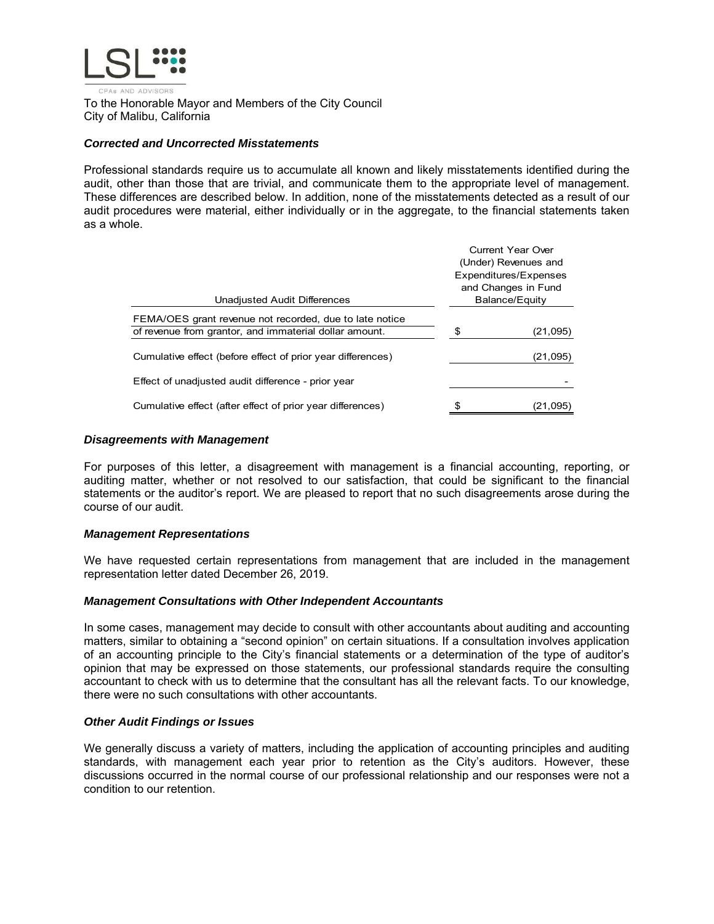

To the Honorable Mayor and Members of the City Council City of Malibu, California

### *Corrected and Uncorrected Misstatements*

Professional standards require us to accumulate all known and likely misstatements identified during the audit, other than those that are trivial, and communicate them to the appropriate level of management. These differences are described below. In addition, none of the misstatements detected as a result of our audit procedures were material, either individually or in the aggregate, to the financial statements taken as a whole.

|                                                             | <b>Current Year Over</b><br>(Under) Revenues and |                       |  |
|-------------------------------------------------------------|--------------------------------------------------|-----------------------|--|
|                                                             |                                                  | Expenditures/Expenses |  |
|                                                             |                                                  | and Changes in Fund   |  |
| Unadjusted Audit Differences                                | Balance/Equity                                   |                       |  |
| FEMA/OES grant revenue not recorded, due to late notice     |                                                  |                       |  |
| of revenue from grantor, and immaterial dollar amount.      | \$                                               | (21,095)              |  |
| Cumulative effect (before effect of prior year differences) |                                                  | (21,095)              |  |
| Effect of unadjusted audit difference - prior year          |                                                  |                       |  |
| Cumulative effect (after effect of prior year differences)  |                                                  | (21,095)              |  |
|                                                             |                                                  |                       |  |

#### *Disagreements with Management*

For purposes of this letter, a disagreement with management is a financial accounting, reporting, or auditing matter, whether or not resolved to our satisfaction, that could be significant to the financial statements or the auditor's report. We are pleased to report that no such disagreements arose during the course of our audit.

## *Management Representations*

We have requested certain representations from management that are included in the management representation letter dated December 26, 2019.

## *Management Consultations with Other Independent Accountants*

In some cases, management may decide to consult with other accountants about auditing and accounting matters, similar to obtaining a "second opinion" on certain situations. If a consultation involves application of an accounting principle to the City's financial statements or a determination of the type of auditor's opinion that may be expressed on those statements, our professional standards require the consulting accountant to check with us to determine that the consultant has all the relevant facts. To our knowledge, there were no such consultations with other accountants.

#### *Other Audit Findings or Issues*

We generally discuss a variety of matters, including the application of accounting principles and auditing standards, with management each year prior to retention as the City's auditors. However, these discussions occurred in the normal course of our professional relationship and our responses were not a condition to our retention.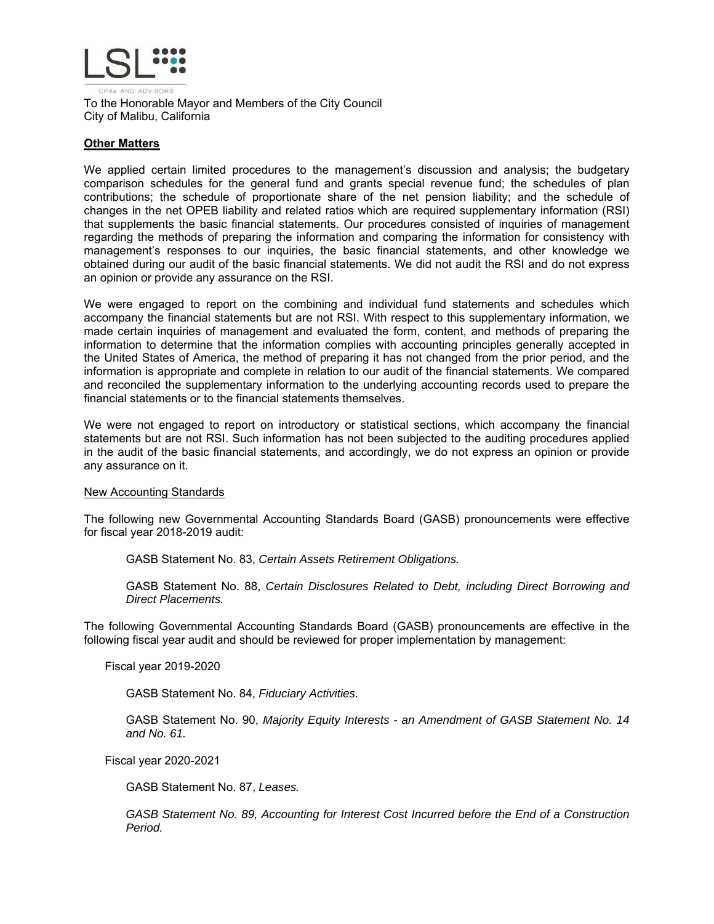

To the Honorable Mayor and Members of the City Council City of Malibu, California

# **Other Matters**

We applied certain limited procedures to the management's discussion and analysis; the budgetary comparison schedules for the general fund and grants special revenue fund; the schedules of plan contributions; the schedule of proportionate share of the net pension liability; and the schedule of changes in the net OPEB liability and related ratios which are required supplementary information (RSI) that supplements the basic financial statements. Our procedures consisted of inquiries of management regarding the methods of preparing the information and comparing the information for consistency with management's responses to our inquiries, the basic financial statements, and other knowledge we obtained during our audit of the basic financial statements. We did not audit the RSI and do not express an opinion or provide any assurance on the RSI.

We were engaged to report on the combining and individual fund statements and schedules which accompany the financial statements but are not RSI. With respect to this supplementary information, we made certain inquiries of management and evaluated the form, content, and methods of preparing the information to determine that the information complies with accounting principles generally accepted in the United States of America, the method of preparing it has not changed from the prior period, and the information is appropriate and complete in relation to our audit of the financial statements. We compared and reconciled the supplementary information to the underlying accounting records used to prepare the financial statements or to the financial statements themselves.

We were not engaged to report on introductory or statistical sections, which accompany the financial statements but are not RSI. Such information has not been subjected to the auditing procedures applied in the audit of the basic financial statements, and accordingly, we do not express an opinion or provide any assurance on it.

## New Accounting Standards

The following new Governmental Accounting Standards Board (GASB) pronouncements were effective for fiscal year 2018-2019 audit:

GASB Statement No. 83, *Certain Assets Retirement Obligations.* 

GASB Statement No. 88, *Certain Disclosures Related to Debt, including Direct Borrowing and Direct Placements.* 

The following Governmental Accounting Standards Board (GASB) pronouncements are effective in the following fiscal year audit and should be reviewed for proper implementation by management:

Fiscal year 2019-2020

GASB Statement No. 84, *Fiduciary Activities.* 

GASB Statement No. 90, *Majority Equity Interests - an Amendment of GASB Statement No. 14 and No. 61.* 

Fiscal year 2020-2021

GASB Statement No. 87, *Leases.* 

*GASB Statement No. 89, Accounting for Interest Cost Incurred before the End of a Construction Period.*